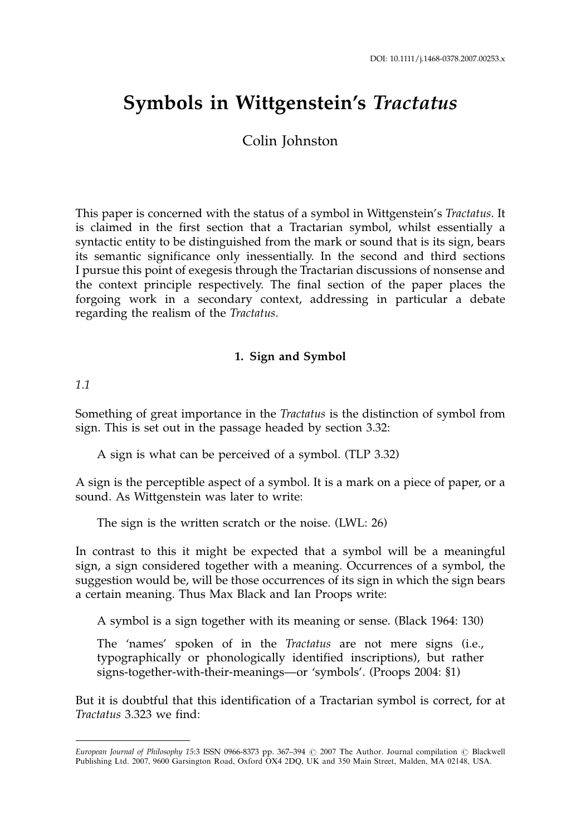# Symbols in Wittgenstein's Tractatus

# Colin Johnston

This paper is concerned with the status of a symbol in Wittgenstein's Tractatus. It is claimed in the first section that a Tractarian symbol, whilst essentially a syntactic entity to be distinguished from the mark or sound that is its sign, bears its semantic significance only inessentially. In the second and third sections I pursue this point of exegesis through the Tractarian discussions of nonsense and the context principle respectively. The final section of the paper places the forgoing work in a secondary context, addressing in particular a debate regarding the realism of the Tractatus.

# 1. Sign and Symbol

# 1.1

Something of great importance in the Tractatus is the distinction of symbol from sign. This is set out in the passage headed by section 3.32:

A sign is what can be perceived of a symbol. (TLP 3.32)

A sign is the perceptible aspect of a symbol. It is a mark on a piece of paper, or a sound. As Wittgenstein was later to write:

The sign is the written scratch or the noise. (LWL: 26)

In contrast to this it might be expected that a symbol will be a meaningful sign, a sign considered together with a meaning. Occurrences of a symbol, the suggestion would be, will be those occurrences of its sign in which the sign bears a certain meaning. Thus Max Black and Ian Proops write:

A symbol is a sign together with its meaning or sense. (Black 1964: 130)

The 'names' spoken of in the Tractatus are not mere signs (i.e., typographically or phonologically identified inscriptions), but rather signs-together-with-their-meanings—or 'symbols'. (Proops 2004: §1)

But it is doubtful that this identification of a Tractarian symbol is correct, for at Tractatus 3.323 we find:

European Journal of Philosophy 15:3 ISSN 0966-8373 pp. 367-394 @ 2007 The Author. Journal compilation @ Blackwell Publishing Ltd. 2007, 9600 Garsington Road, Oxford OX4 2DQ, UK and 350 Main Street, Malden, MA 02148, USA.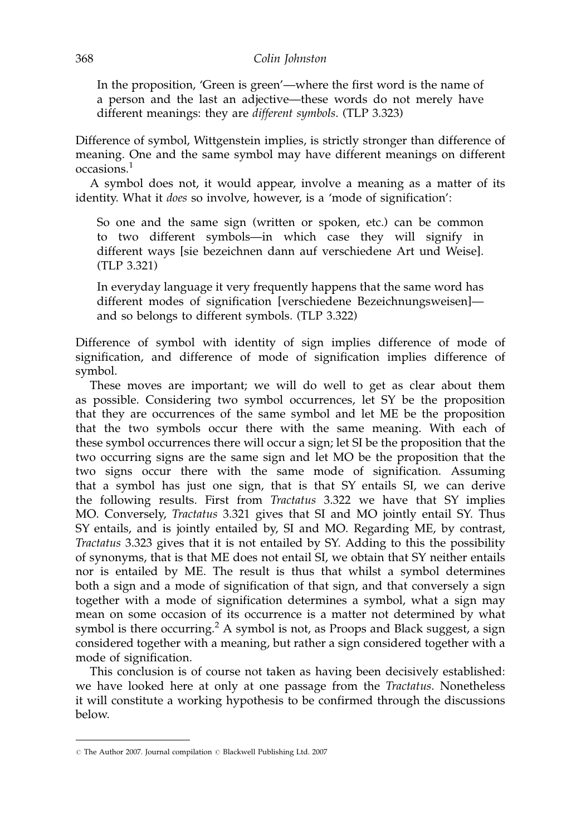In the proposition, 'Green is green'—where the first word is the name of a person and the last an adjective—these words do not merely have different meanings: they are different symbols. (TLP 3.323)

Difference of symbol, Wittgenstein implies, is strictly stronger than difference of meaning. One and the same symbol may have different meanings on different occasions.<sup>1</sup>

A symbol does not, it would appear, involve a meaning as a matter of its identity. What it does so involve, however, is a 'mode of signification':

So one and the same sign (written or spoken, etc.) can be common to two different symbols—in which case they will signify in different ways [sie bezeichnen dann auf verschiedene Art und Weise]. (TLP 3.321)

In everyday language it very frequently happens that the same word has different modes of signification [verschiedene Bezeichnungsweisen] and so belongs to different symbols. (TLP 3.322)

Difference of symbol with identity of sign implies difference of mode of signification, and difference of mode of signification implies difference of symbol.

These moves are important; we will do well to get as clear about them as possible. Considering two symbol occurrences, let SY be the proposition that they are occurrences of the same symbol and let ME be the proposition that the two symbols occur there with the same meaning. With each of these symbol occurrences there will occur a sign; let SI be the proposition that the two occurring signs are the same sign and let MO be the proposition that the two signs occur there with the same mode of signification. Assuming that a symbol has just one sign, that is that SY entails SI, we can derive the following results. First from Tractatus 3.322 we have that SY implies MO. Conversely, Tractatus 3.321 gives that SI and MO jointly entail SY. Thus SY entails, and is jointly entailed by, SI and MO. Regarding ME, by contrast, Tractatus 3.323 gives that it is not entailed by SY. Adding to this the possibility of synonyms, that is that ME does not entail SI, we obtain that SY neither entails nor is entailed by ME. The result is thus that whilst a symbol determines both a sign and a mode of signification of that sign, and that conversely a sign together with a mode of signification determines a symbol, what a sign may mean on some occasion of its occurrence is a matter not determined by what symbol is there occurring.<sup>2</sup> A symbol is not, as Proops and Black suggest, a sign considered together with a meaning, but rather a sign considered together with a mode of signification.

This conclusion is of course not taken as having been decisively established: we have looked here at only at one passage from the *Tractatus*. Nonetheless it will constitute a working hypothesis to be confirmed through the discussions below.

<sup>©</sup> The Author 2007. Journal compilation © Blackwell Publishing Ltd. 2007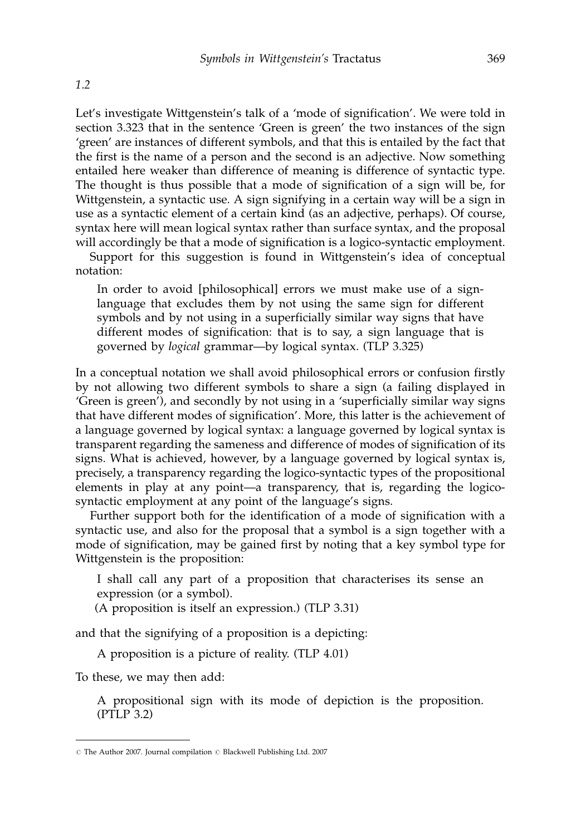1.2

Let's investigate Wittgenstein's talk of a 'mode of signification'. We were told in section 3.323 that in the sentence 'Green is green' the two instances of the sign 'green' are instances of different symbols, and that this is entailed by the fact that the first is the name of a person and the second is an adjective. Now something entailed here weaker than difference of meaning is difference of syntactic type. The thought is thus possible that a mode of signification of a sign will be, for Wittgenstein, a syntactic use. A sign signifying in a certain way will be a sign in use as a syntactic element of a certain kind (as an adjective, perhaps). Of course, syntax here will mean logical syntax rather than surface syntax, and the proposal will accordingly be that a mode of signification is a logico-syntactic employment.

Support for this suggestion is found in Wittgenstein's idea of conceptual notation:

In order to avoid [philosophical] errors we must make use of a signlanguage that excludes them by not using the same sign for different symbols and by not using in a superficially similar way signs that have different modes of signification: that is to say, a sign language that is governed by logical grammar—by logical syntax. (TLP 3.325)

In a conceptual notation we shall avoid philosophical errors or confusion firstly by not allowing two different symbols to share a sign (a failing displayed in 'Green is green'), and secondly by not using in a 'superficially similar way signs that have different modes of signification'. More, this latter is the achievement of a language governed by logical syntax: a language governed by logical syntax is transparent regarding the sameness and difference of modes of signification of its signs. What is achieved, however, by a language governed by logical syntax is, precisely, a transparency regarding the logico-syntactic types of the propositional elements in play at any point—a transparency, that is, regarding the logicosyntactic employment at any point of the language's signs.

Further support both for the identification of a mode of signification with a syntactic use, and also for the proposal that a symbol is a sign together with a mode of signification, may be gained first by noting that a key symbol type for Wittgenstein is the proposition:

I shall call any part of a proposition that characterises its sense an expression (or a symbol).

(A proposition is itself an expression.) (TLP 3.31)

and that the signifying of a proposition is a depicting:

A proposition is a picture of reality. (TLP 4.01)

To these, we may then add:

A propositional sign with its mode of depiction is the proposition. (PTLP 3.2)

<sup>©</sup> The Author 2007. Journal compilation © Blackwell Publishing Ltd. 2007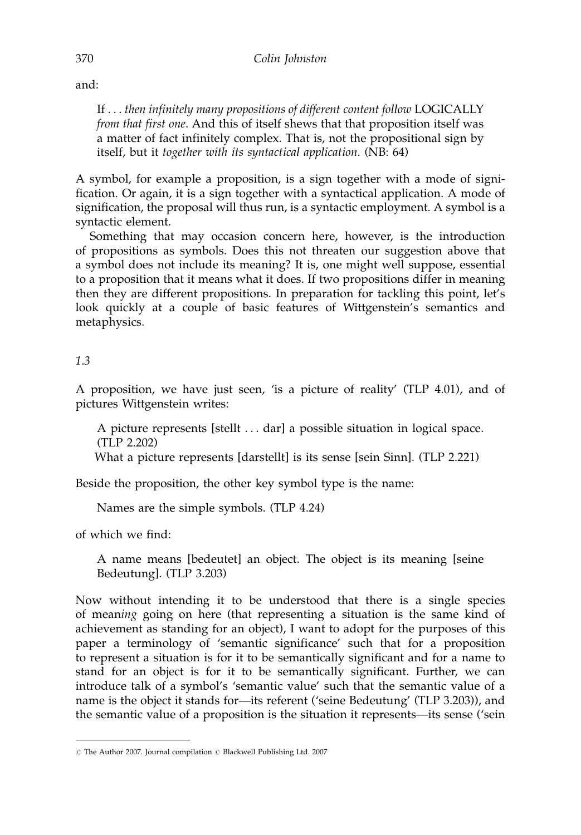and:

If . . . then infinitely many propositions of different content follow LOGICALLY from that first one. And this of itself shews that that proposition itself was a matter of fact infinitely complex. That is, not the propositional sign by itself, but it together with its syntactical application. (NB: 64)

A symbol, for example a proposition, is a sign together with a mode of signification. Or again, it is a sign together with a syntactical application. A mode of signification, the proposal will thus run, is a syntactic employment. A symbol is a syntactic element.

Something that may occasion concern here, however, is the introduction of propositions as symbols. Does this not threaten our suggestion above that a symbol does not include its meaning? It is, one might well suppose, essential to a proposition that it means what it does. If two propositions differ in meaning then they are different propositions. In preparation for tackling this point, let's look quickly at a couple of basic features of Wittgenstein's semantics and metaphysics.

1.3

A proposition, we have just seen, 'is a picture of reality' (TLP 4.01), and of pictures Wittgenstein writes:

A picture represents [stellt . . . dar] a possible situation in logical space. (TLP 2.202)

What a picture represents [darstellt] is its sense [sein Sinn]. (TLP 2.221)

Beside the proposition, the other key symbol type is the name:

Names are the simple symbols. (TLP 4.24)

of which we find:

A name means [bedeutet] an object. The object is its meaning [seine Bedeutung]. (TLP 3.203)

Now without intending it to be understood that there is a single species of meaning going on here (that representing a situation is the same kind of achievement as standing for an object), I want to adopt for the purposes of this paper a terminology of 'semantic significance' such that for a proposition to represent a situation is for it to be semantically significant and for a name to stand for an object is for it to be semantically significant. Further, we can introduce talk of a symbol's 'semantic value' such that the semantic value of a name is the object it stands for—its referent ('seine Bedeutung' (TLP 3.203)), and the semantic value of a proposition is the situation it represents—its sense ('sein

<sup>©</sup> The Author 2007. Journal compilation © Blackwell Publishing Ltd. 2007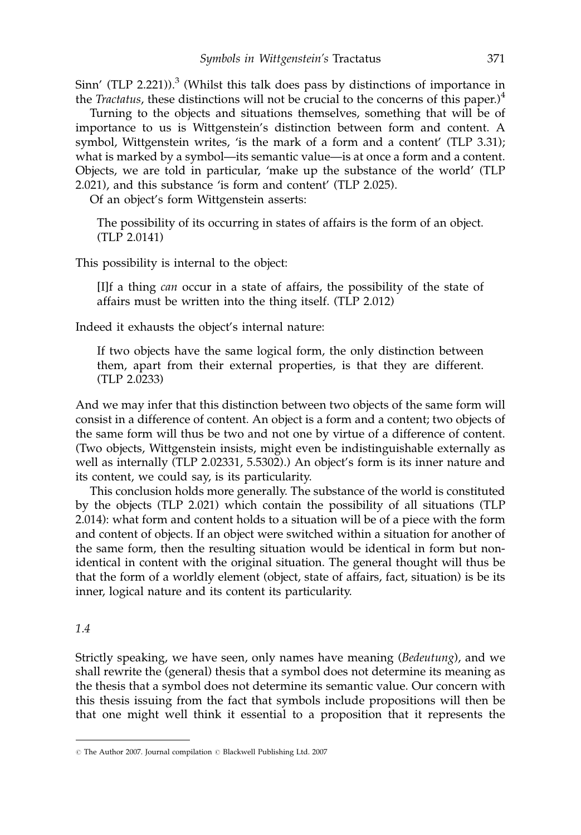Sinn' (TLP 2.221)).<sup>3</sup> (Whilst this talk does pass by distinctions of importance in the *Tractatus*, these distinctions will not be crucial to the concerns of this paper.)<sup>4</sup>

Turning to the objects and situations themselves, something that will be of importance to us is Wittgenstein's distinction between form and content. A symbol, Wittgenstein writes, 'is the mark of a form and a content' (TLP 3.31); what is marked by a symbol—its semantic value—is at once a form and a content. Objects, we are told in particular, 'make up the substance of the world' (TLP 2.021), and this substance 'is form and content' (TLP 2.025).

Of an object's form Wittgenstein asserts:

The possibility of its occurring in states of affairs is the form of an object. (TLP 2.0141)

This possibility is internal to the object:

[I]f a thing can occur in a state of affairs, the possibility of the state of affairs must be written into the thing itself. (TLP 2.012)

Indeed it exhausts the object's internal nature:

If two objects have the same logical form, the only distinction between them, apart from their external properties, is that they are different. (TLP 2.0233)

And we may infer that this distinction between two objects of the same form will consist in a difference of content. An object is a form and a content; two objects of the same form will thus be two and not one by virtue of a difference of content. (Two objects, Wittgenstein insists, might even be indistinguishable externally as well as internally (TLP 2.02331, 5.5302).) An object's form is its inner nature and its content, we could say, is its particularity.

This conclusion holds more generally. The substance of the world is constituted by the objects (TLP 2.021) which contain the possibility of all situations (TLP 2.014): what form and content holds to a situation will be of a piece with the form and content of objects. If an object were switched within a situation for another of the same form, then the resulting situation would be identical in form but nonidentical in content with the original situation. The general thought will thus be that the form of a worldly element (object, state of affairs, fact, situation) is be its inner, logical nature and its content its particularity.

### 1.4

Strictly speaking, we have seen, only names have meaning (Bedeutung), and we shall rewrite the (general) thesis that a symbol does not determine its meaning as the thesis that a symbol does not determine its semantic value. Our concern with this thesis issuing from the fact that symbols include propositions will then be that one might well think it essential to a proposition that it represents the

<sup>©</sup> The Author 2007. Journal compilation © Blackwell Publishing Ltd. 2007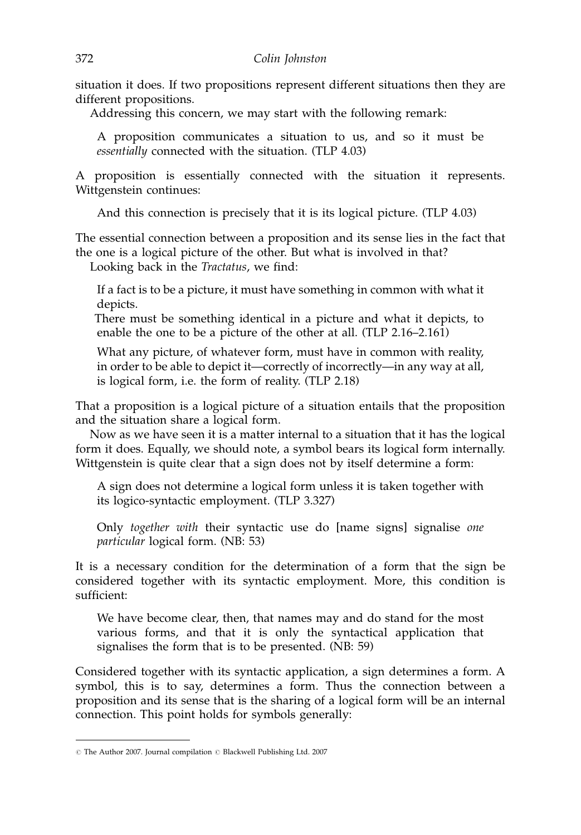situation it does. If two propositions represent different situations then they are different propositions.

Addressing this concern, we may start with the following remark:

A proposition communicates a situation to us, and so it must be essentially connected with the situation. (TLP 4.03)

A proposition is essentially connected with the situation it represents. Wittgenstein continues:

And this connection is precisely that it is its logical picture. (TLP 4.03)

The essential connection between a proposition and its sense lies in the fact that the one is a logical picture of the other. But what is involved in that?

Looking back in the Tractatus, we find:

If a fact is to be a picture, it must have something in common with what it depicts.

There must be something identical in a picture and what it depicts, to enable the one to be a picture of the other at all. (TLP 2.16–2.161)

What any picture, of whatever form, must have in common with reality, in order to be able to depict it—correctly of incorrectly—in any way at all, is logical form, i.e. the form of reality. (TLP 2.18)

That a proposition is a logical picture of a situation entails that the proposition and the situation share a logical form.

Now as we have seen it is a matter internal to a situation that it has the logical form it does. Equally, we should note, a symbol bears its logical form internally. Wittgenstein is quite clear that a sign does not by itself determine a form:

A sign does not determine a logical form unless it is taken together with its logico-syntactic employment. (TLP 3.327)

Only together with their syntactic use do [name signs] signalise one particular logical form. (NB: 53)

It is a necessary condition for the determination of a form that the sign be considered together with its syntactic employment. More, this condition is sufficient:

We have become clear, then, that names may and do stand for the most various forms, and that it is only the syntactical application that signalises the form that is to be presented. (NB: 59)

Considered together with its syntactic application, a sign determines a form. A symbol, this is to say, determines a form. Thus the connection between a proposition and its sense that is the sharing of a logical form will be an internal connection. This point holds for symbols generally:

<sup>©</sup> The Author 2007. Journal compilation © Blackwell Publishing Ltd. 2007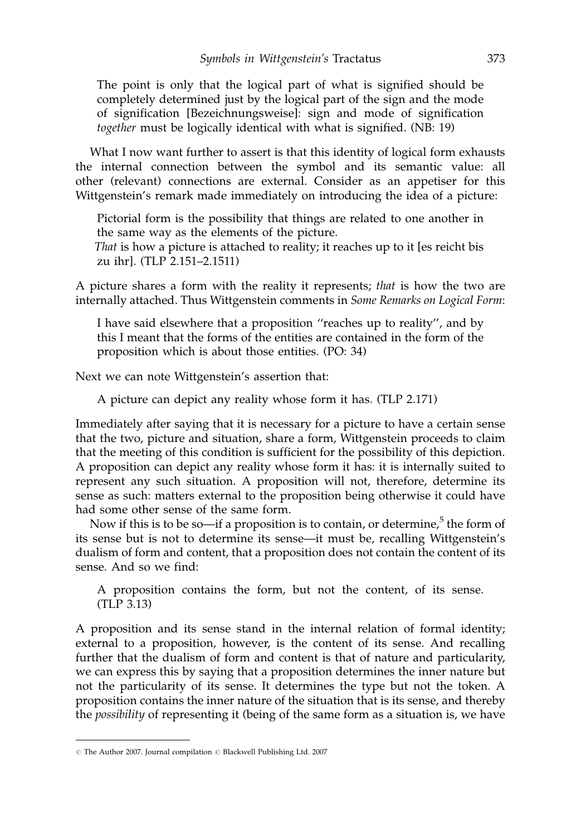The point is only that the logical part of what is signified should be completely determined just by the logical part of the sign and the mode of signification [Bezeichnungsweise]: sign and mode of signification together must be logically identical with what is signified. (NB: 19)

What I now want further to assert is that this identity of logical form exhausts the internal connection between the symbol and its semantic value: all other (relevant) connections are external. Consider as an appetiser for this Wittgenstein's remark made immediately on introducing the idea of a picture:

Pictorial form is the possibility that things are related to one another in the same way as the elements of the picture.

That is how a picture is attached to reality; it reaches up to it [es reicht bis zu ihr]. (TLP 2.151–2.1511)

A picture shares a form with the reality it represents; that is how the two are internally attached. Thus Wittgenstein comments in Some Remarks on Logical Form:

I have said elsewhere that a proposition ''reaches up to reality'', and by this I meant that the forms of the entities are contained in the form of the proposition which is about those entities. (PO: 34)

Next we can note Wittgenstein's assertion that:

A picture can depict any reality whose form it has. (TLP 2.171)

Immediately after saying that it is necessary for a picture to have a certain sense that the two, picture and situation, share a form, Wittgenstein proceeds to claim that the meeting of this condition is sufficient for the possibility of this depiction. A proposition can depict any reality whose form it has: it is internally suited to represent any such situation. A proposition will not, therefore, determine its sense as such: matters external to the proposition being otherwise it could have had some other sense of the same form.

Now if this is to be so—if a proposition is to contain, or determine,<sup>5</sup> the form of its sense but is not to determine its sense—it must be, recalling Wittgenstein's dualism of form and content, that a proposition does not contain the content of its sense. And so we find:

A proposition contains the form, but not the content, of its sense. (TLP 3.13)

A proposition and its sense stand in the internal relation of formal identity; external to a proposition, however, is the content of its sense. And recalling further that the dualism of form and content is that of nature and particularity, we can express this by saying that a proposition determines the inner nature but not the particularity of its sense. It determines the type but not the token. A proposition contains the inner nature of the situation that is its sense, and thereby the possibility of representing it (being of the same form as a situation is, we have

<sup>©</sup> The Author 2007. Journal compilation © Blackwell Publishing Ltd. 2007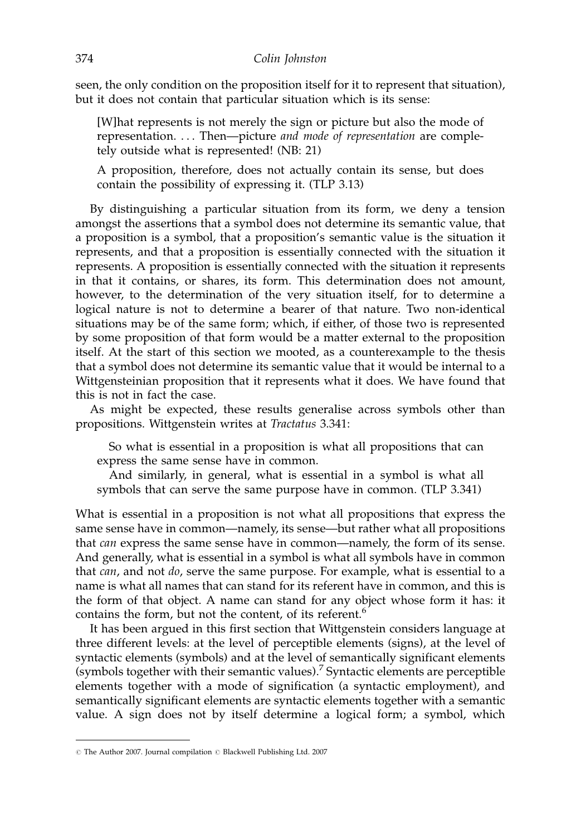seen, the only condition on the proposition itself for it to represent that situation), but it does not contain that particular situation which is its sense:

[W]hat represents is not merely the sign or picture but also the mode of representation. ... Then—picture and mode of representation are completely outside what is represented! (NB: 21)

A proposition, therefore, does not actually contain its sense, but does contain the possibility of expressing it. (TLP 3.13)

By distinguishing a particular situation from its form, we deny a tension amongst the assertions that a symbol does not determine its semantic value, that a proposition is a symbol, that a proposition's semantic value is the situation it represents, and that a proposition is essentially connected with the situation it represents. A proposition is essentially connected with the situation it represents in that it contains, or shares, its form. This determination does not amount, however, to the determination of the very situation itself, for to determine a logical nature is not to determine a bearer of that nature. Two non-identical situations may be of the same form; which, if either, of those two is represented by some proposition of that form would be a matter external to the proposition itself. At the start of this section we mooted, as a counterexample to the thesis that a symbol does not determine its semantic value that it would be internal to a Wittgensteinian proposition that it represents what it does. We have found that this is not in fact the case.

As might be expected, these results generalise across symbols other than propositions. Wittgenstein writes at Tractatus 3.341:

So what is essential in a proposition is what all propositions that can express the same sense have in common.

And similarly, in general, what is essential in a symbol is what all symbols that can serve the same purpose have in common. (TLP 3.341)

What is essential in a proposition is not what all propositions that express the same sense have in common—namely, its sense—but rather what all propositions that *can* express the same sense have in common—namely, the form of its sense. And generally, what is essential in a symbol is what all symbols have in common that *can*, and not *do*, serve the same purpose. For example, what is essential to a name is what all names that can stand for its referent have in common, and this is the form of that object. A name can stand for any object whose form it has: it contains the form, but not the content, of its referent.<sup>6</sup>

It has been argued in this first section that Wittgenstein considers language at three different levels: at the level of perceptible elements (signs), at the level of syntactic elements (symbols) and at the level of semantically significant elements (symbols together with their semantic values).<sup>7</sup> Syntactic elements are perceptible elements together with a mode of signification (a syntactic employment), and semantically significant elements are syntactic elements together with a semantic value. A sign does not by itself determine a logical form; a symbol, which

<sup>©</sup> The Author 2007. Journal compilation © Blackwell Publishing Ltd. 2007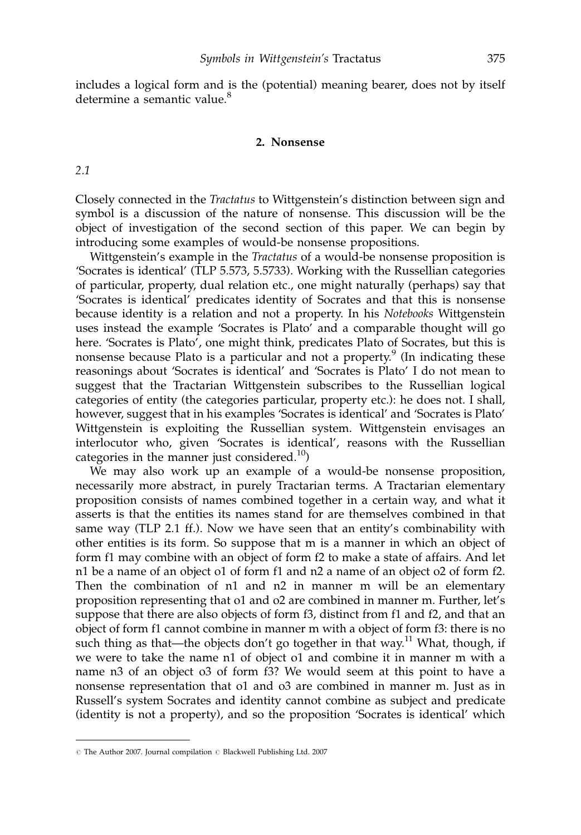includes a logical form and is the (potential) meaning bearer, does not by itself determine a semantic value.<sup>8</sup>

#### 2. Nonsense

2.1

Closely connected in the Tractatus to Wittgenstein's distinction between sign and symbol is a discussion of the nature of nonsense. This discussion will be the object of investigation of the second section of this paper. We can begin by introducing some examples of would-be nonsense propositions.

Wittgenstein's example in the Tractatus of a would-be nonsense proposition is 'Socrates is identical' (TLP 5.573, 5.5733). Working with the Russellian categories of particular, property, dual relation etc., one might naturally (perhaps) say that 'Socrates is identical' predicates identity of Socrates and that this is nonsense because identity is a relation and not a property. In his Notebooks Wittgenstein uses instead the example 'Socrates is Plato' and a comparable thought will go here. 'Socrates is Plato', one might think, predicates Plato of Socrates, but this is nonsense because Plato is a particular and not a property. $9$  (In indicating these reasonings about 'Socrates is identical' and 'Socrates is Plato' I do not mean to suggest that the Tractarian Wittgenstein subscribes to the Russellian logical categories of entity (the categories particular, property etc.): he does not. I shall, however, suggest that in his examples 'Socrates is identical' and 'Socrates is Plato' Wittgenstein is exploiting the Russellian system. Wittgenstein envisages an interlocutor who, given 'Socrates is identical', reasons with the Russellian categories in the manner just considered.<sup>10</sup>)

We may also work up an example of a would-be nonsense proposition, necessarily more abstract, in purely Tractarian terms. A Tractarian elementary proposition consists of names combined together in a certain way, and what it asserts is that the entities its names stand for are themselves combined in that same way (TLP 2.1 ff.). Now we have seen that an entity's combinability with other entities is its form. So suppose that m is a manner in which an object of form f1 may combine with an object of form f2 to make a state of affairs. And let n1 be a name of an object o1 of form f1 and n2 a name of an object o2 of form f2. Then the combination of n1 and n2 in manner m will be an elementary proposition representing that o1 and o2 are combined in manner m. Further, let's suppose that there are also objects of form f3, distinct from f1 and f2, and that an object of form f1 cannot combine in manner m with a object of form f3: there is no such thing as that—the objects don't go together in that way.<sup>11</sup> What, though, if we were to take the name n1 of object o1 and combine it in manner m with a name n3 of an object o3 of form f3? We would seem at this point to have a nonsense representation that o1 and o3 are combined in manner m. Just as in Russell's system Socrates and identity cannot combine as subject and predicate (identity is not a property), and so the proposition 'Socrates is identical' which

<sup>©</sup> The Author 2007. Journal compilation © Blackwell Publishing Ltd. 2007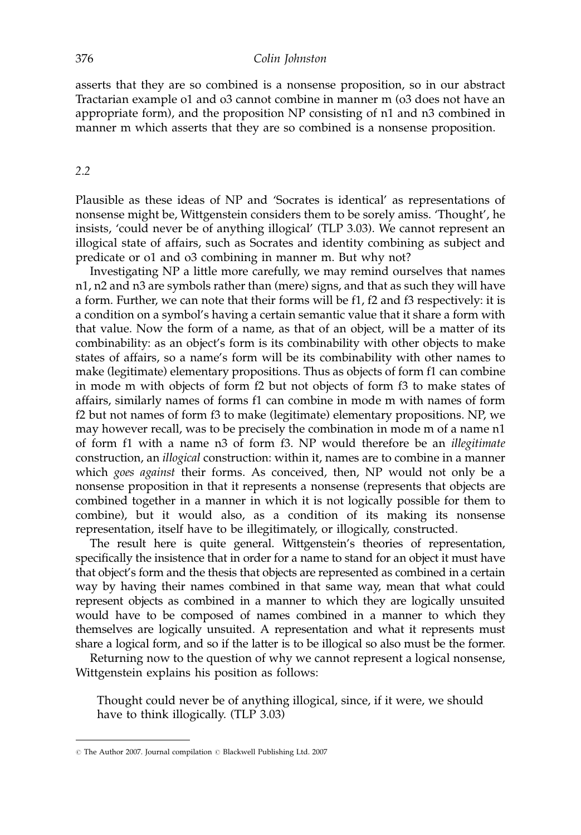#### 376 Colin Johnston

asserts that they are so combined is a nonsense proposition, so in our abstract Tractarian example o1 and o3 cannot combine in manner m (o3 does not have an appropriate form), and the proposition NP consisting of n1 and n3 combined in manner m which asserts that they are so combined is a nonsense proposition.

#### 2.2

Plausible as these ideas of NP and 'Socrates is identical' as representations of nonsense might be, Wittgenstein considers them to be sorely amiss. 'Thought', he insists, 'could never be of anything illogical' (TLP 3.03). We cannot represent an illogical state of affairs, such as Socrates and identity combining as subject and predicate or o1 and o3 combining in manner m. But why not?

Investigating NP a little more carefully, we may remind ourselves that names n1, n2 and n3 are symbols rather than (mere) signs, and that as such they will have a form. Further, we can note that their forms will be f1, f2 and f3 respectively: it is a condition on a symbol's having a certain semantic value that it share a form with that value. Now the form of a name, as that of an object, will be a matter of its combinability: as an object's form is its combinability with other objects to make states of affairs, so a name's form will be its combinability with other names to make (legitimate) elementary propositions. Thus as objects of form f1 can combine in mode m with objects of form f2 but not objects of form f3 to make states of affairs, similarly names of forms f1 can combine in mode m with names of form f2 but not names of form f3 to make (legitimate) elementary propositions. NP, we may however recall, was to be precisely the combination in mode m of a name n1 of form f1 with a name n3 of form f3. NP would therefore be an illegitimate construction, an illogical construction: within it, names are to combine in a manner which *goes against* their forms. As conceived, then, NP would not only be a nonsense proposition in that it represents a nonsense (represents that objects are combined together in a manner in which it is not logically possible for them to combine), but it would also, as a condition of its making its nonsense representation, itself have to be illegitimately, or illogically, constructed.

The result here is quite general. Wittgenstein's theories of representation, specifically the insistence that in order for a name to stand for an object it must have that object's form and the thesis that objects are represented as combined in a certain way by having their names combined in that same way, mean that what could represent objects as combined in a manner to which they are logically unsuited would have to be composed of names combined in a manner to which they themselves are logically unsuited. A representation and what it represents must share a logical form, and so if the latter is to be illogical so also must be the former.

Returning now to the question of why we cannot represent a logical nonsense, Wittgenstein explains his position as follows:

Thought could never be of anything illogical, since, if it were, we should have to think illogically. (TLP 3.03)

<sup>©</sup> The Author 2007. Journal compilation © Blackwell Publishing Ltd. 2007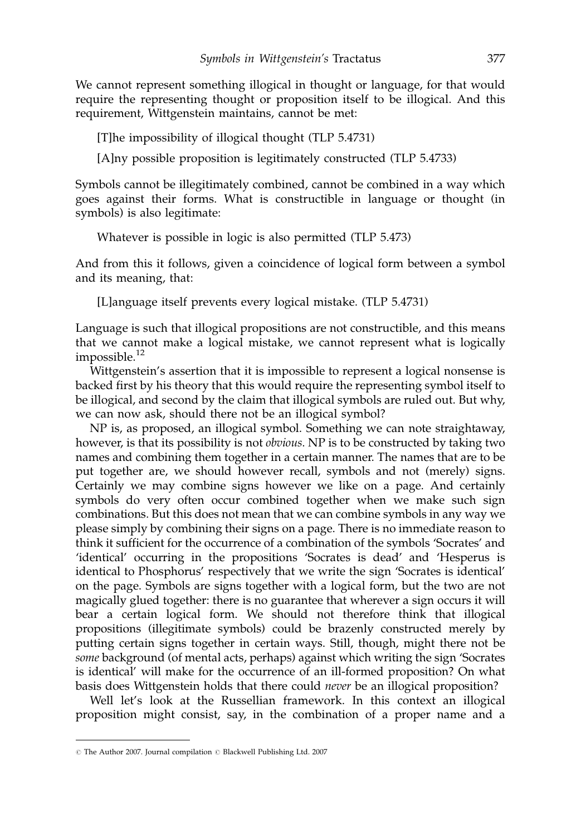We cannot represent something illogical in thought or language, for that would require the representing thought or proposition itself to be illogical. And this requirement, Wittgenstein maintains, cannot be met:

[T]he impossibility of illogical thought (TLP 5.4731)

[A]ny possible proposition is legitimately constructed (TLP 5.4733)

Symbols cannot be illegitimately combined, cannot be combined in a way which goes against their forms. What is constructible in language or thought (in symbols) is also legitimate:

Whatever is possible in logic is also permitted (TLP 5.473)

And from this it follows, given a coincidence of logical form between a symbol and its meaning, that:

[L]anguage itself prevents every logical mistake. (TLP 5.4731)

Language is such that illogical propositions are not constructible, and this means that we cannot make a logical mistake, we cannot represent what is logically impossible. $^{12}$ 

Wittgenstein's assertion that it is impossible to represent a logical nonsense is backed first by his theory that this would require the representing symbol itself to be illogical, and second by the claim that illogical symbols are ruled out. But why, we can now ask, should there not be an illogical symbol?

NP is, as proposed, an illogical symbol. Something we can note straightaway, however, is that its possibility is not *obvious*. NP is to be constructed by taking two names and combining them together in a certain manner. The names that are to be put together are, we should however recall, symbols and not (merely) signs. Certainly we may combine signs however we like on a page. And certainly symbols do very often occur combined together when we make such sign combinations. But this does not mean that we can combine symbols in any way we please simply by combining their signs on a page. There is no immediate reason to think it sufficient for the occurrence of a combination of the symbols 'Socrates' and 'identical' occurring in the propositions 'Socrates is dead' and 'Hesperus is identical to Phosphorus' respectively that we write the sign 'Socrates is identical' on the page. Symbols are signs together with a logical form, but the two are not magically glued together: there is no guarantee that wherever a sign occurs it will bear a certain logical form. We should not therefore think that illogical propositions (illegitimate symbols) could be brazenly constructed merely by putting certain signs together in certain ways. Still, though, might there not be some background (of mental acts, perhaps) against which writing the sign 'Socrates is identical' will make for the occurrence of an ill-formed proposition? On what basis does Wittgenstein holds that there could never be an illogical proposition?

Well let's look at the Russellian framework. In this context an illogical proposition might consist, say, in the combination of a proper name and a

<sup>©</sup> The Author 2007. Journal compilation © Blackwell Publishing Ltd. 2007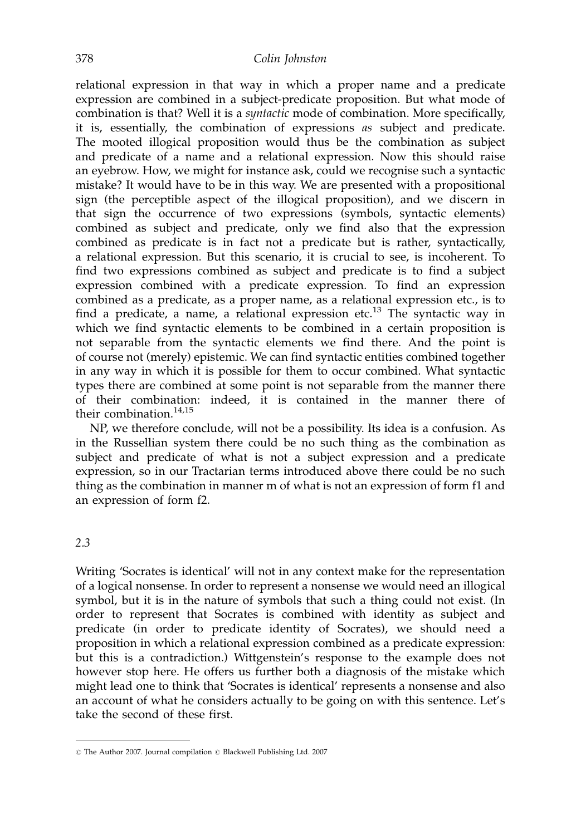relational expression in that way in which a proper name and a predicate expression are combined in a subject-predicate proposition. But what mode of combination is that? Well it is a syntactic mode of combination. More specifically, it is, essentially, the combination of expressions as subject and predicate. The mooted illogical proposition would thus be the combination as subject and predicate of a name and a relational expression. Now this should raise an eyebrow. How, we might for instance ask, could we recognise such a syntactic mistake? It would have to be in this way. We are presented with a propositional sign (the perceptible aspect of the illogical proposition), and we discern in that sign the occurrence of two expressions (symbols, syntactic elements) combined as subject and predicate, only we find also that the expression combined as predicate is in fact not a predicate but is rather, syntactically, a relational expression. But this scenario, it is crucial to see, is incoherent. To find two expressions combined as subject and predicate is to find a subject expression combined with a predicate expression. To find an expression combined as a predicate, as a proper name, as a relational expression etc., is to find a predicate, a name, a relational expression etc.<sup>13</sup> The syntactic way in which we find syntactic elements to be combined in a certain proposition is not separable from the syntactic elements we find there. And the point is of course not (merely) epistemic. We can find syntactic entities combined together in any way in which it is possible for them to occur combined. What syntactic types there are combined at some point is not separable from the manner there of their combination: indeed, it is contained in the manner there of their combination.<sup>14,15</sup>

NP, we therefore conclude, will not be a possibility. Its idea is a confusion. As in the Russellian system there could be no such thing as the combination as subject and predicate of what is not a subject expression and a predicate expression, so in our Tractarian terms introduced above there could be no such thing as the combination in manner m of what is not an expression of form f1 and an expression of form f2.

# 2.3

Writing 'Socrates is identical' will not in any context make for the representation of a logical nonsense. In order to represent a nonsense we would need an illogical symbol, but it is in the nature of symbols that such a thing could not exist. (In order to represent that Socrates is combined with identity as subject and predicate (in order to predicate identity of Socrates), we should need a proposition in which a relational expression combined as a predicate expression: but this is a contradiction.) Wittgenstein's response to the example does not however stop here. He offers us further both a diagnosis of the mistake which might lead one to think that 'Socrates is identical' represents a nonsense and also an account of what he considers actually to be going on with this sentence. Let's take the second of these first.

 $\odot$  The Author 2007. Journal compilation  $\odot$  Blackwell Publishing Ltd. 2007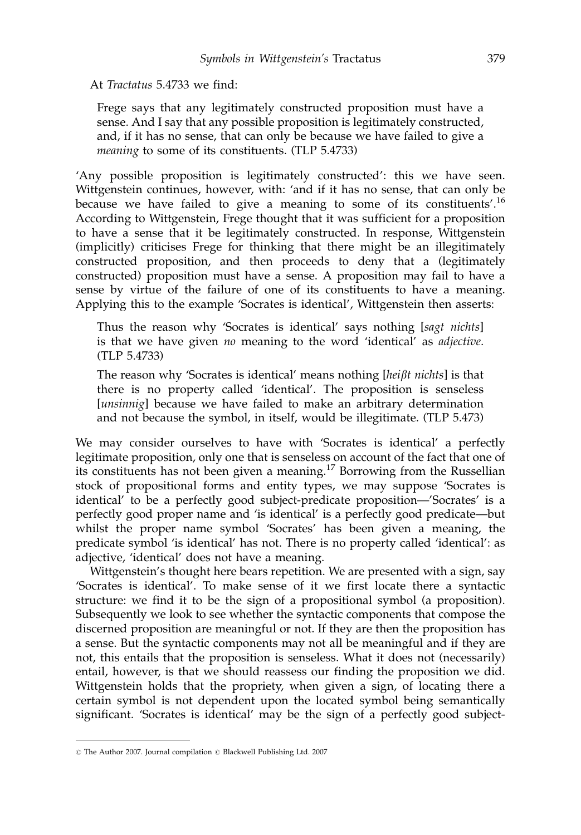At Tractatus 5.4733 we find:

Frege says that any legitimately constructed proposition must have a sense. And I say that any possible proposition is legitimately constructed, and, if it has no sense, that can only be because we have failed to give a meaning to some of its constituents. (TLP 5.4733)

'Any possible proposition is legitimately constructed': this we have seen. Wittgenstein continues, however, with: 'and if it has no sense, that can only be because we have failed to give a meaning to some of its constituents'.<sup>16</sup> According to Wittgenstein, Frege thought that it was sufficient for a proposition to have a sense that it be legitimately constructed. In response, Wittgenstein (implicitly) criticises Frege for thinking that there might be an illegitimately constructed proposition, and then proceeds to deny that a (legitimately constructed) proposition must have a sense. A proposition may fail to have a sense by virtue of the failure of one of its constituents to have a meaning. Applying this to the example 'Socrates is identical', Wittgenstein then asserts:

Thus the reason why 'Socrates is identical' says nothing [sagt nichts] is that we have given no meaning to the word 'identical' as *adjective*. (TLP 5.4733)

The reason why 'Socrates is identical' means nothing [heißt nichts] is that there is no property called 'identical'. The proposition is senseless [*unsinnig*] because we have failed to make an arbitrary determination and not because the symbol, in itself, would be illegitimate. (TLP 5.473)

We may consider ourselves to have with 'Socrates is identical' a perfectly legitimate proposition, only one that is senseless on account of the fact that one of its constituents has not been given a meaning.<sup>17</sup> Borrowing from the Russellian stock of propositional forms and entity types, we may suppose 'Socrates is identical' to be a perfectly good subject-predicate proposition—'Socrates' is a perfectly good proper name and 'is identical' is a perfectly good predicate—but whilst the proper name symbol 'Socrates' has been given a meaning, the predicate symbol 'is identical' has not. There is no property called 'identical': as adjective, 'identical' does not have a meaning.

Wittgenstein's thought here bears repetition. We are presented with a sign, say 'Socrates is identical'. To make sense of it we first locate there a syntactic structure: we find it to be the sign of a propositional symbol (a proposition). Subsequently we look to see whether the syntactic components that compose the discerned proposition are meaningful or not. If they are then the proposition has a sense. But the syntactic components may not all be meaningful and if they are not, this entails that the proposition is senseless. What it does not (necessarily) entail, however, is that we should reassess our finding the proposition we did. Wittgenstein holds that the propriety, when given a sign, of locating there a certain symbol is not dependent upon the located symbol being semantically significant. 'Socrates is identical' may be the sign of a perfectly good subject-

<sup>©</sup> The Author 2007. Journal compilation © Blackwell Publishing Ltd. 2007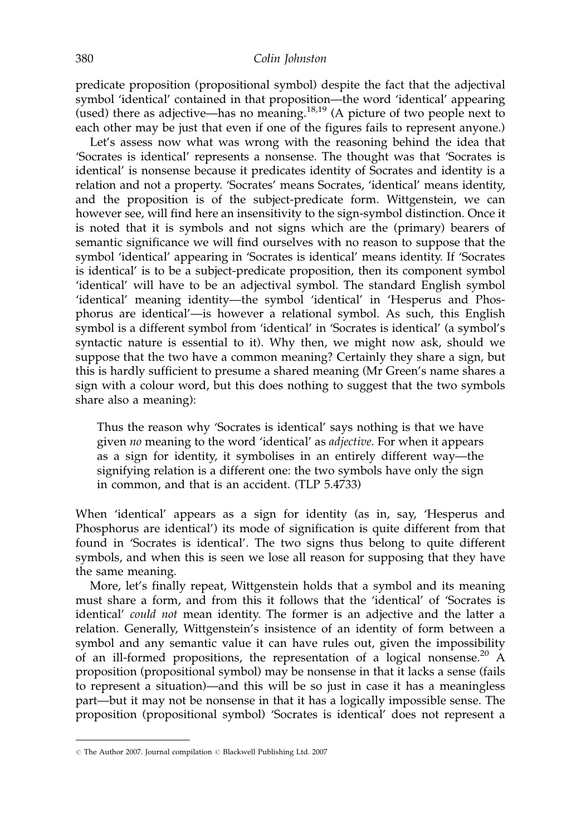predicate proposition (propositional symbol) despite the fact that the adjectival symbol 'identical' contained in that proposition—the word 'identical' appearing (used) there as adjective—has no meaning.18,19 (A picture of two people next to each other may be just that even if one of the figures fails to represent anyone.)

Let's assess now what was wrong with the reasoning behind the idea that 'Socrates is identical' represents a nonsense. The thought was that 'Socrates is identical' is nonsense because it predicates identity of Socrates and identity is a relation and not a property. 'Socrates' means Socrates, 'identical' means identity, and the proposition is of the subject-predicate form. Wittgenstein, we can however see, will find here an insensitivity to the sign-symbol distinction. Once it is noted that it is symbols and not signs which are the (primary) bearers of semantic significance we will find ourselves with no reason to suppose that the symbol 'identical' appearing in 'Socrates is identical' means identity. If 'Socrates is identical' is to be a subject-predicate proposition, then its component symbol 'identical' will have to be an adjectival symbol. The standard English symbol 'identical' meaning identity—the symbol 'identical' in 'Hesperus and Phosphorus are identical'—is however a relational symbol. As such, this English symbol is a different symbol from 'identical' in 'Socrates is identical' (a symbol's syntactic nature is essential to it). Why then, we might now ask, should we suppose that the two have a common meaning? Certainly they share a sign, but this is hardly sufficient to presume a shared meaning (Mr Green's name shares a sign with a colour word, but this does nothing to suggest that the two symbols share also a meaning):

Thus the reason why 'Socrates is identical' says nothing is that we have given no meaning to the word 'identical' as adjective. For when it appears as a sign for identity, it symbolises in an entirely different way—the signifying relation is a different one: the two symbols have only the sign in common, and that is an accident. (TLP 5.4733)

When 'identical' appears as a sign for identity (as in, say, 'Hesperus and Phosphorus are identical') its mode of signification is quite different from that found in 'Socrates is identical'. The two signs thus belong to quite different symbols, and when this is seen we lose all reason for supposing that they have the same meaning.

More, let's finally repeat, Wittgenstein holds that a symbol and its meaning must share a form, and from this it follows that the 'identical' of 'Socrates is identical' could not mean identity. The former is an adjective and the latter a relation. Generally, Wittgenstein's insistence of an identity of form between a symbol and any semantic value it can have rules out, given the impossibility of an ill-formed propositions, the representation of a logical nonsense.<sup>20</sup> A proposition (propositional symbol) may be nonsense in that it lacks a sense (fails to represent a situation)—and this will be so just in case it has a meaningless part—but it may not be nonsense in that it has a logically impossible sense. The proposition (propositional symbol) 'Socrates is identical' does not represent a

<sup>©</sup> The Author 2007. Journal compilation © Blackwell Publishing Ltd. 2007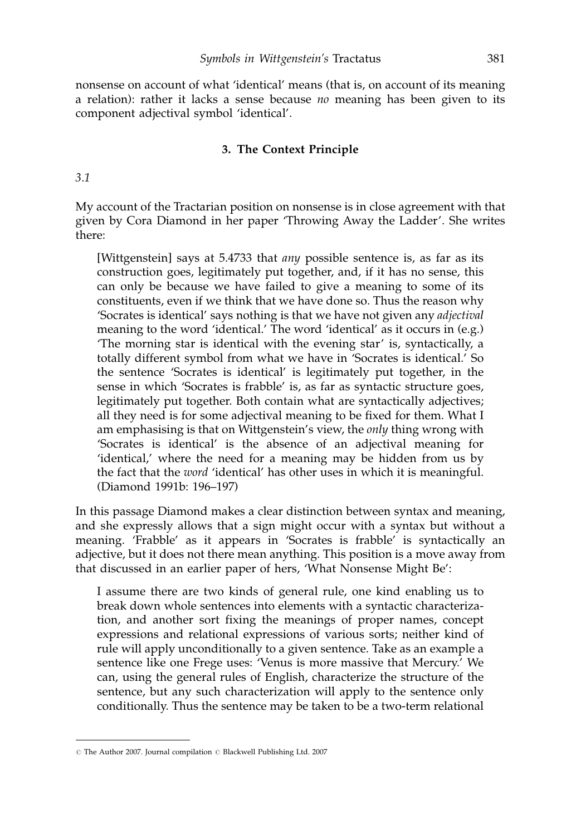nonsense on account of what 'identical' means (that is, on account of its meaning a relation): rather it lacks a sense because  $no$  meaning has been given to its component adjectival symbol 'identical'.

## 3. The Context Principle

3.1

My account of the Tractarian position on nonsense is in close agreement with that given by Cora Diamond in her paper 'Throwing Away the Ladder'. She writes there:

[Wittgenstein] says at 5.4733 that *any* possible sentence is, as far as its construction goes, legitimately put together, and, if it has no sense, this can only be because we have failed to give a meaning to some of its constituents, even if we think that we have done so. Thus the reason why 'Socrates is identical' says nothing is that we have not given any adjectival meaning to the word 'identical.' The word 'identical' as it occurs in (e.g.) 'The morning star is identical with the evening star' is, syntactically, a totally different symbol from what we have in 'Socrates is identical.' So the sentence 'Socrates is identical' is legitimately put together, in the sense in which 'Socrates is frabble' is, as far as syntactic structure goes, legitimately put together. Both contain what are syntactically adjectives; all they need is for some adjectival meaning to be fixed for them. What I am emphasising is that on Wittgenstein's view, the only thing wrong with 'Socrates is identical' is the absence of an adjectival meaning for 'identical,' where the need for a meaning may be hidden from us by the fact that the word 'identical' has other uses in which it is meaningful. (Diamond 1991b: 196–197)

In this passage Diamond makes a clear distinction between syntax and meaning, and she expressly allows that a sign might occur with a syntax but without a meaning. 'Frabble' as it appears in 'Socrates is frabble' is syntactically an adjective, but it does not there mean anything. This position is a move away from that discussed in an earlier paper of hers, 'What Nonsense Might Be':

I assume there are two kinds of general rule, one kind enabling us to break down whole sentences into elements with a syntactic characterization, and another sort fixing the meanings of proper names, concept expressions and relational expressions of various sorts; neither kind of rule will apply unconditionally to a given sentence. Take as an example a sentence like one Frege uses: 'Venus is more massive that Mercury.' We can, using the general rules of English, characterize the structure of the sentence, but any such characterization will apply to the sentence only conditionally. Thus the sentence may be taken to be a two-term relational

<sup>©</sup> The Author 2007. Journal compilation © Blackwell Publishing Ltd. 2007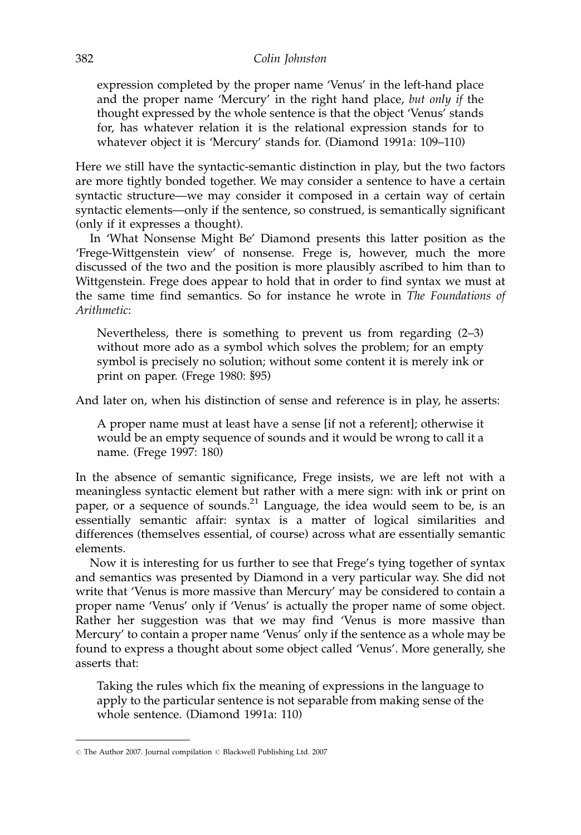expression completed by the proper name 'Venus' in the left-hand place and the proper name 'Mercury' in the right hand place, but only if the thought expressed by the whole sentence is that the object 'Venus' stands for, has whatever relation it is the relational expression stands for to whatever object it is 'Mercury' stands for. (Diamond 1991a: 109–110)

Here we still have the syntactic-semantic distinction in play, but the two factors are more tightly bonded together. We may consider a sentence to have a certain syntactic structure—we may consider it composed in a certain way of certain syntactic elements—only if the sentence, so construed, is semantically significant (only if it expresses a thought).

In 'What Nonsense Might Be' Diamond presents this latter position as the 'Frege-Wittgenstein view' of nonsense. Frege is, however, much the more discussed of the two and the position is more plausibly ascribed to him than to Wittgenstein. Frege does appear to hold that in order to find syntax we must at the same time find semantics. So for instance he wrote in The Foundations of Arithmetic:

Nevertheless, there is something to prevent us from regarding (2–3) without more ado as a symbol which solves the problem; for an empty symbol is precisely no solution; without some content it is merely ink or print on paper. (Frege 1980: §95)

And later on, when his distinction of sense and reference is in play, he asserts:

A proper name must at least have a sense [if not a referent]; otherwise it would be an empty sequence of sounds and it would be wrong to call it a name. (Frege 1997: 180)

In the absence of semantic significance, Frege insists, we are left not with a meaningless syntactic element but rather with a mere sign: with ink or print on paper, or a sequence of sounds.<sup>21</sup> Language, the idea would seem to be, is an essentially semantic affair: syntax is a matter of logical similarities and differences (themselves essential, of course) across what are essentially semantic elements.

Now it is interesting for us further to see that Frege's tying together of syntax and semantics was presented by Diamond in a very particular way. She did not write that 'Venus is more massive than Mercury' may be considered to contain a proper name 'Venus' only if 'Venus' is actually the proper name of some object. Rather her suggestion was that we may find 'Venus is more massive than Mercury' to contain a proper name 'Venus' only if the sentence as a whole may be found to express a thought about some object called 'Venus'. More generally, she asserts that:

Taking the rules which fix the meaning of expressions in the language to apply to the particular sentence is not separable from making sense of the whole sentence. (Diamond 1991a: 110)

<sup>©</sup> The Author 2007. Journal compilation © Blackwell Publishing Ltd. 2007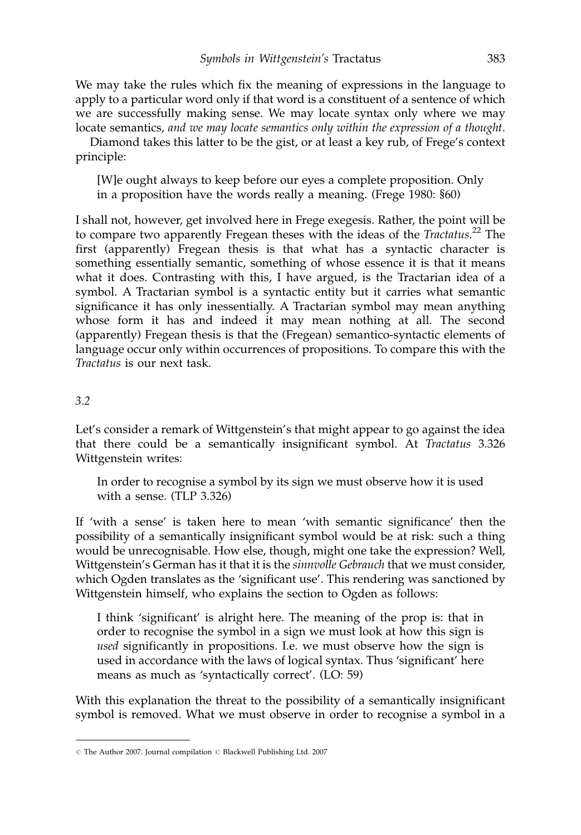We may take the rules which fix the meaning of expressions in the language to apply to a particular word only if that word is a constituent of a sentence of which we are successfully making sense. We may locate syntax only where we may locate semantics, and we may locate semantics only within the expression of a thought.

Diamond takes this latter to be the gist, or at least a key rub, of Frege's context principle:

[W]e ought always to keep before our eyes a complete proposition. Only in a proposition have the words really a meaning. (Frege 1980: §60)

I shall not, however, get involved here in Frege exegesis. Rather, the point will be to compare two apparently Fregean theses with the ideas of the Tractatus.<sup>22</sup> The first (apparently) Fregean thesis is that what has a syntactic character is something essentially semantic, something of whose essence it is that it means what it does. Contrasting with this, I have argued, is the Tractarian idea of a symbol. A Tractarian symbol is a syntactic entity but it carries what semantic significance it has only inessentially. A Tractarian symbol may mean anything whose form it has and indeed it may mean nothing at all. The second (apparently) Fregean thesis is that the (Fregean) semantico-syntactic elements of language occur only within occurrences of propositions. To compare this with the Tractatus is our next task.

# 3.2

Let's consider a remark of Wittgenstein's that might appear to go against the idea that there could be a semantically insignificant symbol. At Tractatus 3.326 Wittgenstein writes:

In order to recognise a symbol by its sign we must observe how it is used with a sense. (TLP 3.326)

If 'with a sense' is taken here to mean 'with semantic significance' then the possibility of a semantically insignificant symbol would be at risk: such a thing would be unrecognisable. How else, though, might one take the expression? Well, Wittgenstein's German has it that it is the *sinnvolle Gebrauch* that we must consider, which Ogden translates as the 'significant use'. This rendering was sanctioned by Wittgenstein himself, who explains the section to Ogden as follows:

I think 'significant' is alright here. The meaning of the prop is: that in order to recognise the symbol in a sign we must look at how this sign is used significantly in propositions. I.e. we must observe how the sign is used in accordance with the laws of logical syntax. Thus 'significant' here means as much as 'syntactically correct'. (LO: 59)

With this explanation the threat to the possibility of a semantically insignificant symbol is removed. What we must observe in order to recognise a symbol in a

<sup>©</sup> The Author 2007. Journal compilation © Blackwell Publishing Ltd. 2007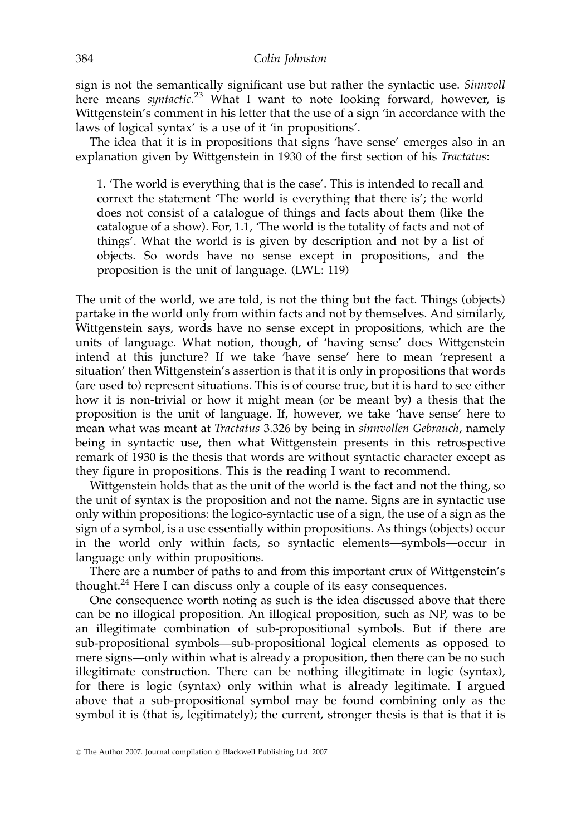sign is not the semantically significant use but rather the syntactic use. *Sinnvoll* here means syntactic.<sup>23</sup> What I want to note looking forward, however, is Wittgenstein's comment in his letter that the use of a sign 'in accordance with the laws of logical syntax' is a use of it 'in propositions'.

The idea that it is in propositions that signs 'have sense' emerges also in an explanation given by Wittgenstein in 1930 of the first section of his Tractatus:

1. 'The world is everything that is the case'. This is intended to recall and correct the statement 'The world is everything that there is'; the world does not consist of a catalogue of things and facts about them (like the catalogue of a show). For, 1.1, 'The world is the totality of facts and not of things'. What the world is is given by description and not by a list of objects. So words have no sense except in propositions, and the proposition is the unit of language. (LWL: 119)

The unit of the world, we are told, is not the thing but the fact. Things (objects) partake in the world only from within facts and not by themselves. And similarly, Wittgenstein says, words have no sense except in propositions, which are the units of language. What notion, though, of 'having sense' does Wittgenstein intend at this juncture? If we take 'have sense' here to mean 'represent a situation' then Wittgenstein's assertion is that it is only in propositions that words (are used to) represent situations. This is of course true, but it is hard to see either how it is non-trivial or how it might mean (or be meant by) a thesis that the proposition is the unit of language. If, however, we take 'have sense' here to mean what was meant at Tractatus 3.326 by being in sinnvollen Gebrauch, namely being in syntactic use, then what Wittgenstein presents in this retrospective remark of 1930 is the thesis that words are without syntactic character except as they figure in propositions. This is the reading I want to recommend.

Wittgenstein holds that as the unit of the world is the fact and not the thing, so the unit of syntax is the proposition and not the name. Signs are in syntactic use only within propositions: the logico-syntactic use of a sign, the use of a sign as the sign of a symbol, is a use essentially within propositions. As things (objects) occur in the world only within facts, so syntactic elements—symbols—occur in language only within propositions.

There are a number of paths to and from this important crux of Wittgenstein's thought.<sup>24</sup> Here I can discuss only a couple of its easy consequences.

One consequence worth noting as such is the idea discussed above that there can be no illogical proposition. An illogical proposition, such as NP, was to be an illegitimate combination of sub-propositional symbols. But if there are sub-propositional symbols—sub-propositional logical elements as opposed to mere signs—only within what is already a proposition, then there can be no such illegitimate construction. There can be nothing illegitimate in logic (syntax), for there is logic (syntax) only within what is already legitimate. I argued above that a sub-propositional symbol may be found combining only as the symbol it is (that is, legitimately); the current, stronger thesis is that is that it is

<sup>©</sup> The Author 2007. Journal compilation © Blackwell Publishing Ltd. 2007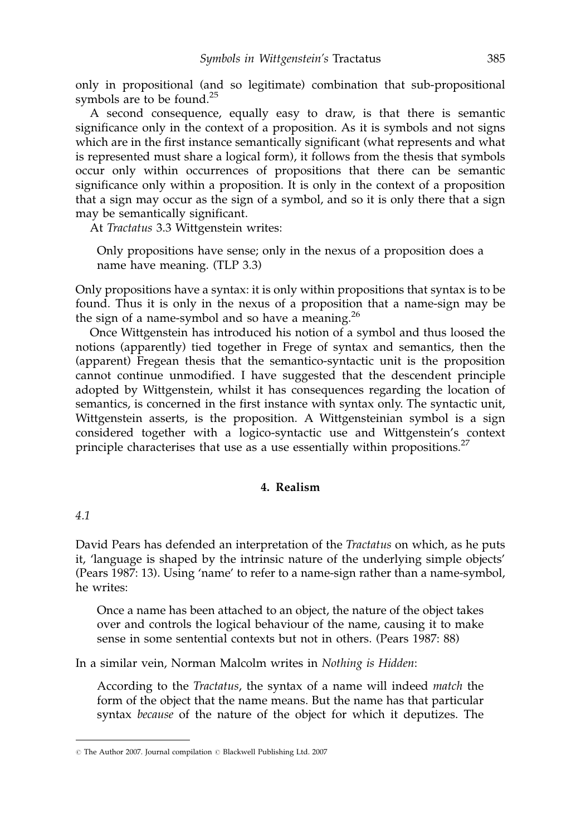only in propositional (and so legitimate) combination that sub-propositional symbols are to be found.<sup>25</sup>

A second consequence, equally easy to draw, is that there is semantic significance only in the context of a proposition. As it is symbols and not signs which are in the first instance semantically significant (what represents and what is represented must share a logical form), it follows from the thesis that symbols occur only within occurrences of propositions that there can be semantic significance only within a proposition. It is only in the context of a proposition that a sign may occur as the sign of a symbol, and so it is only there that a sign may be semantically significant.

At Tractatus 3.3 Wittgenstein writes:

Only propositions have sense; only in the nexus of a proposition does a name have meaning. (TLP 3.3)

Only propositions have a syntax: it is only within propositions that syntax is to be found. Thus it is only in the nexus of a proposition that a name-sign may be the sign of a name-symbol and so have a meaning. $^{26}$ 

Once Wittgenstein has introduced his notion of a symbol and thus loosed the notions (apparently) tied together in Frege of syntax and semantics, then the (apparent) Fregean thesis that the semantico-syntactic unit is the proposition cannot continue unmodified. I have suggested that the descendent principle adopted by Wittgenstein, whilst it has consequences regarding the location of semantics, is concerned in the first instance with syntax only. The syntactic unit, Wittgenstein asserts, is the proposition. A Wittgensteinian symbol is a sign considered together with a logico-syntactic use and Wittgenstein's context principle characterises that use as a use essentially within propositions.<sup>27</sup>

### 4. Realism

# 4.1

David Pears has defended an interpretation of the *Tractatus* on which, as he puts it, 'language is shaped by the intrinsic nature of the underlying simple objects' (Pears 1987: 13). Using 'name' to refer to a name-sign rather than a name-symbol, he writes:

Once a name has been attached to an object, the nature of the object takes over and controls the logical behaviour of the name, causing it to make sense in some sentential contexts but not in others. (Pears 1987: 88)

In a similar vein, Norman Malcolm writes in Nothing is Hidden:

According to the Tractatus, the syntax of a name will indeed match the form of the object that the name means. But the name has that particular syntax because of the nature of the object for which it deputizes. The

<sup>©</sup> The Author 2007. Journal compilation © Blackwell Publishing Ltd. 2007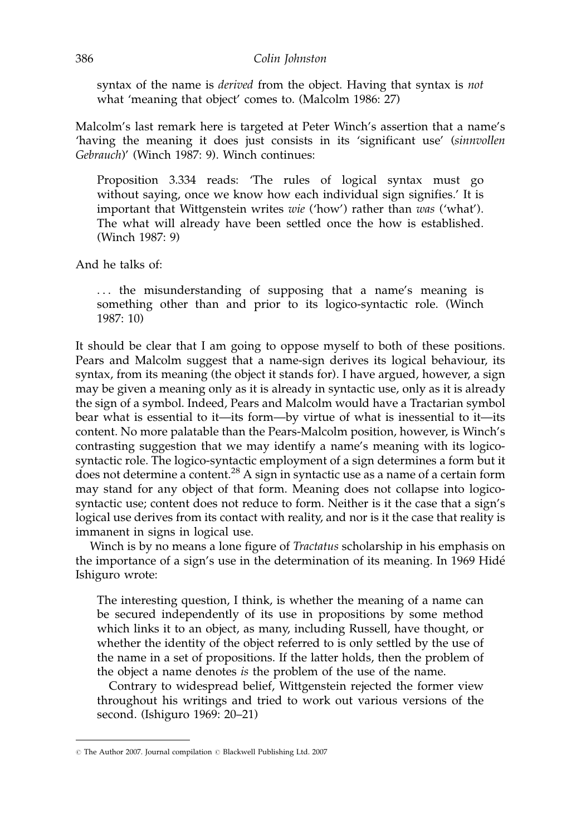syntax of the name is *derived* from the object. Having that syntax is *not* what 'meaning that object' comes to. (Malcolm 1986: 27)

Malcolm's last remark here is targeted at Peter Winch's assertion that a name's 'having the meaning it does just consists in its 'significant use' (sinnvollen Gebrauch)' (Winch 1987: 9). Winch continues:

Proposition 3.334 reads: 'The rules of logical syntax must go without saying, once we know how each individual sign signifies.' It is important that Wittgenstein writes wie ('how') rather than was ('what'). The what will already have been settled once the how is established. (Winch 1987: 9)

And he talks of:

... the misunderstanding of supposing that a name's meaning is something other than and prior to its logico-syntactic role. (Winch 1987: 10)

It should be clear that I am going to oppose myself to both of these positions. Pears and Malcolm suggest that a name-sign derives its logical behaviour, its syntax, from its meaning (the object it stands for). I have argued, however, a sign may be given a meaning only as it is already in syntactic use, only as it is already the sign of a symbol. Indeed, Pears and Malcolm would have a Tractarian symbol bear what is essential to it—its form—by virtue of what is inessential to it—its content. No more palatable than the Pears-Malcolm position, however, is Winch's contrasting suggestion that we may identify a name's meaning with its logicosyntactic role. The logico-syntactic employment of a sign determines a form but it does not determine a content.<sup>28</sup> A sign in syntactic use as a name of a certain form may stand for any object of that form. Meaning does not collapse into logicosyntactic use; content does not reduce to form. Neither is it the case that a sign's logical use derives from its contact with reality, and nor is it the case that reality is immanent in signs in logical use.

Winch is by no means a lone figure of Tractatus scholarship in his emphasis on the importance of a sign's use in the determination of its meaning. In 1969 Hide´ Ishiguro wrote:

The interesting question, I think, is whether the meaning of a name can be secured independently of its use in propositions by some method which links it to an object, as many, including Russell, have thought, or whether the identity of the object referred to is only settled by the use of the name in a set of propositions. If the latter holds, then the problem of the object a name denotes is the problem of the use of the name.

Contrary to widespread belief, Wittgenstein rejected the former view throughout his writings and tried to work out various versions of the second. (Ishiguro 1969: 20–21)

<sup>©</sup> The Author 2007. Journal compilation © Blackwell Publishing Ltd. 2007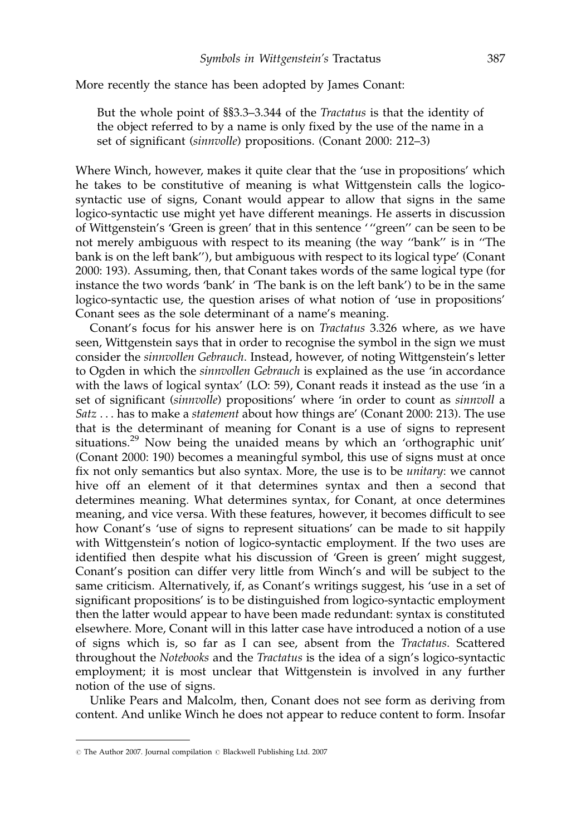More recently the stance has been adopted by James Conant:

But the whole point of §§3.3–3.344 of the Tractatus is that the identity of the object referred to by a name is only fixed by the use of the name in a set of significant (sinnvolle) propositions. (Conant 2000: 212–3)

Where Winch, however, makes it quite clear that the 'use in propositions' which he takes to be constitutive of meaning is what Wittgenstein calls the logicosyntactic use of signs, Conant would appear to allow that signs in the same logico-syntactic use might yet have different meanings. He asserts in discussion of Wittgenstein's 'Green is green' that in this sentence '''green'' can be seen to be not merely ambiguous with respect to its meaning (the way ''bank'' is in ''The bank is on the left bank''), but ambiguous with respect to its logical type' (Conant 2000: 193). Assuming, then, that Conant takes words of the same logical type (for instance the two words 'bank' in 'The bank is on the left bank') to be in the same logico-syntactic use, the question arises of what notion of 'use in propositions' Conant sees as the sole determinant of a name's meaning.

Conant's focus for his answer here is on Tractatus 3.326 where, as we have seen, Wittgenstein says that in order to recognise the symbol in the sign we must consider the sinnvollen Gebrauch. Instead, however, of noting Wittgenstein's letter to Ogden in which the *sinnvollen Gebrauch* is explained as the use 'in accordance with the laws of logical syntax' (LO: 59), Conant reads it instead as the use 'in a set of significant (sinnvolle) propositions' where 'in order to count as sinnvoll a Satz . . . has to make a *statement* about how things are' (Conant 2000: 213). The use that is the determinant of meaning for Conant is a use of signs to represent situations.<sup>29</sup> Now being the unaided means by which an 'orthographic unit' (Conant 2000: 190) becomes a meaningful symbol, this use of signs must at once fix not only semantics but also syntax. More, the use is to be unitary: we cannot hive off an element of it that determines syntax and then a second that determines meaning. What determines syntax, for Conant, at once determines meaning, and vice versa. With these features, however, it becomes difficult to see how Conant's 'use of signs to represent situations' can be made to sit happily with Wittgenstein's notion of logico-syntactic employment. If the two uses are identified then despite what his discussion of 'Green is green' might suggest, Conant's position can differ very little from Winch's and will be subject to the same criticism. Alternatively, if, as Conant's writings suggest, his 'use in a set of significant propositions' is to be distinguished from logico-syntactic employment then the latter would appear to have been made redundant: syntax is constituted elsewhere. More, Conant will in this latter case have introduced a notion of a use of signs which is, so far as I can see, absent from the Tractatus. Scattered throughout the Notebooks and the Tractatus is the idea of a sign's logico-syntactic employment; it is most unclear that Wittgenstein is involved in any further notion of the use of signs.

Unlike Pears and Malcolm, then, Conant does not see form as deriving from content. And unlike Winch he does not appear to reduce content to form. Insofar

<sup>©</sup> The Author 2007. Journal compilation © Blackwell Publishing Ltd. 2007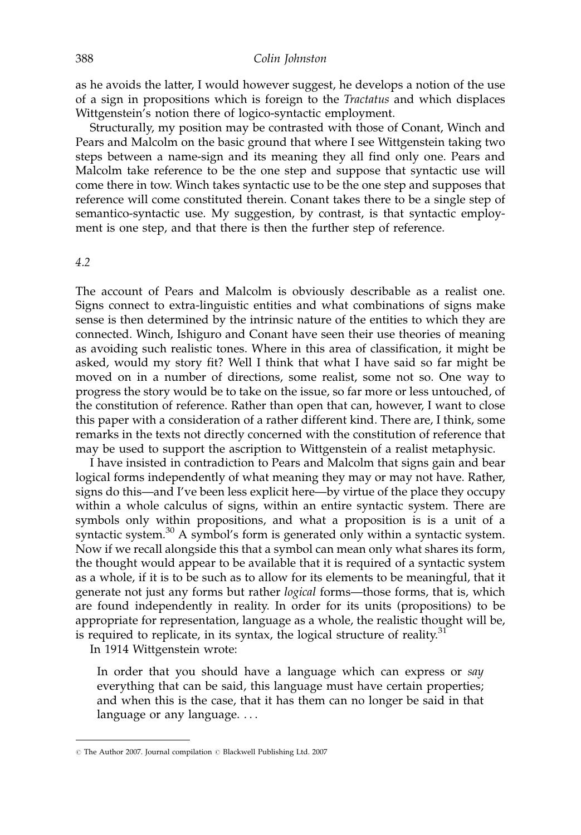as he avoids the latter, I would however suggest, he develops a notion of the use of a sign in propositions which is foreign to the Tractatus and which displaces Wittgenstein's notion there of logico-syntactic employment.

Structurally, my position may be contrasted with those of Conant, Winch and Pears and Malcolm on the basic ground that where I see Wittgenstein taking two steps between a name-sign and its meaning they all find only one. Pears and Malcolm take reference to be the one step and suppose that syntactic use will come there in tow. Winch takes syntactic use to be the one step and supposes that reference will come constituted therein. Conant takes there to be a single step of semantico-syntactic use. My suggestion, by contrast, is that syntactic employment is one step, and that there is then the further step of reference.

## 4.2

The account of Pears and Malcolm is obviously describable as a realist one. Signs connect to extra-linguistic entities and what combinations of signs make sense is then determined by the intrinsic nature of the entities to which they are connected. Winch, Ishiguro and Conant have seen their use theories of meaning as avoiding such realistic tones. Where in this area of classification, it might be asked, would my story fit? Well I think that what I have said so far might be moved on in a number of directions, some realist, some not so. One way to progress the story would be to take on the issue, so far more or less untouched, of the constitution of reference. Rather than open that can, however, I want to close this paper with a consideration of a rather different kind. There are, I think, some remarks in the texts not directly concerned with the constitution of reference that may be used to support the ascription to Wittgenstein of a realist metaphysic.

I have insisted in contradiction to Pears and Malcolm that signs gain and bear logical forms independently of what meaning they may or may not have. Rather, signs do this—and I've been less explicit here—by virtue of the place they occupy within a whole calculus of signs, within an entire syntactic system. There are symbols only within propositions, and what a proposition is is a unit of a syntactic system.<sup>30</sup> A symbol's form is generated only within a syntactic system. Now if we recall alongside this that a symbol can mean only what shares its form, the thought would appear to be available that it is required of a syntactic system as a whole, if it is to be such as to allow for its elements to be meaningful, that it generate not just any forms but rather logical forms—those forms, that is, which are found independently in reality. In order for its units (propositions) to be appropriate for representation, language as a whole, the realistic thought will be, is required to replicate, in its syntax, the logical structure of reality. $31$ 

In 1914 Wittgenstein wrote:

In order that you should have a language which can express or say everything that can be said, this language must have certain properties; and when this is the case, that it has them can no longer be said in that language or any language....

<sup>©</sup> The Author 2007. Journal compilation © Blackwell Publishing Ltd. 2007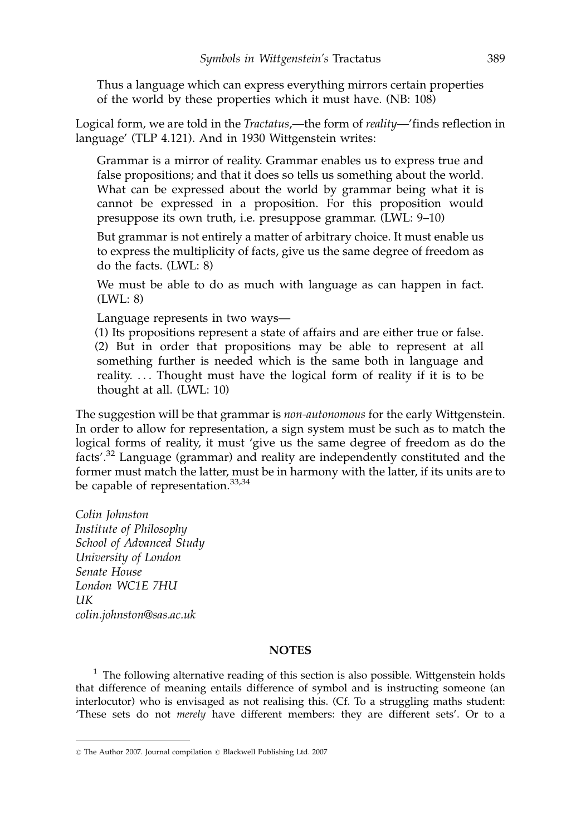Thus a language which can express everything mirrors certain properties of the world by these properties which it must have. (NB: 108)

Logical form, we are told in the *Tractatus*,—the form of *reality*—'finds reflection in language' (TLP 4.121). And in 1930 Wittgenstein writes:

Grammar is a mirror of reality. Grammar enables us to express true and false propositions; and that it does so tells us something about the world. What can be expressed about the world by grammar being what it is cannot be expressed in a proposition. For this proposition would presuppose its own truth, i.e. presuppose grammar. (LWL: 9–10)

But grammar is not entirely a matter of arbitrary choice. It must enable us to express the multiplicity of facts, give us the same degree of freedom as do the facts. (LWL: 8)

We must be able to do as much with language as can happen in fact. (LWL: 8)

Language represents in two ways—

(1) Its propositions represent a state of affairs and are either true or false. (2) But in order that propositions may be able to represent at all something further is needed which is the same both in language and reality. ... Thought must have the logical form of reality if it is to be thought at all. (LWL: 10)

The suggestion will be that grammar is *non-autonomous* for the early Wittgenstein. In order to allow for representation, a sign system must be such as to match the logical forms of reality, it must 'give us the same degree of freedom as do the facts'.32 Language (grammar) and reality are independently constituted and the former must match the latter, must be in harmony with the latter, if its units are to be capable of representation.<sup>33,34</sup>

Colin Johnston Institute of Philosophy School of Advanced Study University of London Senate House London WC1E 7HU UK colin.johnston@sas.ac.uk

#### **NOTES**

 $<sup>1</sup>$  The following alternative reading of this section is also possible. Wittgenstein holds</sup> that difference of meaning entails difference of symbol and is instructing someone (an interlocutor) who is envisaged as not realising this. (Cf. To a struggling maths student: 'These sets do not merely have different members: they are different sets'. Or to a

<sup>©</sup> The Author 2007. Journal compilation © Blackwell Publishing Ltd. 2007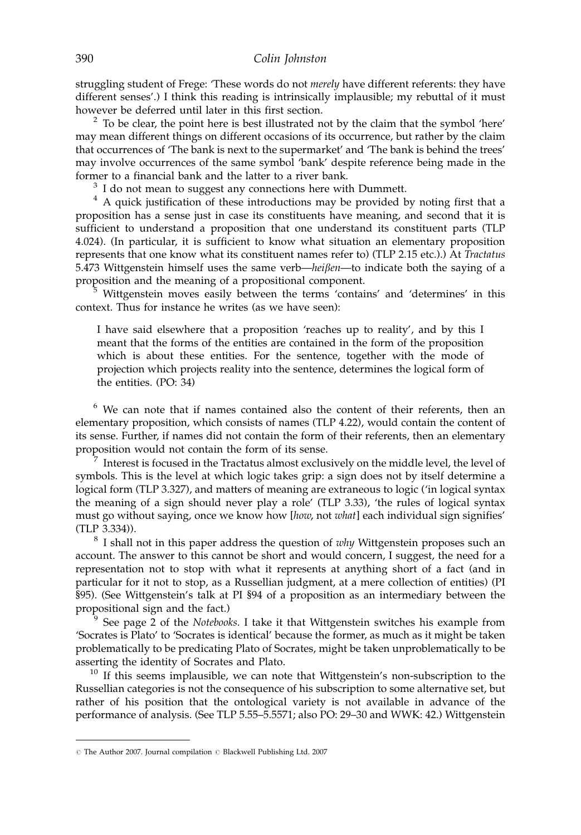struggling student of Frege: 'These words do not merely have different referents: they have different senses'.) I think this reading is intrinsically implausible; my rebuttal of it must however be deferred until later in this first section.

 $\frac{1}{2}$  To be clear, the point here is best illustrated not by the claim that the symbol 'here' may mean different things on different occasions of its occurrence, but rather by the claim that occurrences of 'The bank is next to the supermarket' and 'The bank is behind the trees' may involve occurrences of the same symbol 'bank' despite reference being made in the

<sup>3</sup> I do not mean to suggest any connections here with Dummett.  $4$  A quick justification of these introductions may be provided by noting first that a proposition has a sense just in case its constituents have meaning, and second that it is sufficient to understand a proposition that one understand its constituent parts (TLP 4.024). (In particular, it is sufficient to know what situation an elementary proposition represents that one know what its constituent names refer to) (TLP 2.15 etc.).) At Tractatus 5.473 Wittgenstein himself uses the same verb—heißen—to indicate both the saying of a proposition and the meaning of a propositional component.

Wittgenstein moves easily between the terms 'contains' and 'determines' in this context. Thus for instance he writes (as we have seen):

I have said elsewhere that a proposition 'reaches up to reality', and by this I meant that the forms of the entities are contained in the form of the proposition which is about these entities. For the sentence, together with the mode of projection which projects reality into the sentence, determines the logical form of the entities. (PO: 34)

<sup>6</sup> We can note that if names contained also the content of their referents, then an elementary proposition, which consists of names (TLP 4.22), would contain the content of its sense. Further, if names did not contain the form of their referents, then an elementary proposition would not contain the form of its sense.

<sup>7</sup> Interest is focused in the Tractatus almost exclusively on the middle level, the level of symbols. This is the level at which logic takes grip: a sign does not by itself determine a logical form (TLP 3.327), and matters of meaning are extraneous to logic ('in logical syntax the meaning of a sign should never play a role' (TLP 3.33), 'the rules of logical syntax must go without saying, once we know how [how, not what] each individual sign signifies' (TLP 3.334)).

 $8$  I shall not in this paper address the question of why Wittgenstein proposes such an account. The answer to this cannot be short and would concern, I suggest, the need for a representation not to stop with what it represents at anything short of a fact (and in particular for it not to stop, as a Russellian judgment, at a mere collection of entities) (PI §95). (See Wittgenstein's talk at PI §94 of a proposition as an intermediary between the propositional sign and the fact.)

 $9$  See page 2 of the Notebooks. I take it that Wittgenstein switches his example from 'Socrates is Plato' to 'Socrates is identical' because the former, as much as it might be taken problematically to be predicating Plato of Socrates, might be taken unproblematically to be asserting the identity of Socrates and Plato.

<sup>10</sup> If this seems implausible, we can note that Wittgenstein's non-subscription to the Russellian categories is not the consequence of his subscription to some alternative set, but rather of his position that the ontological variety is not available in advance of the performance of analysis. (See TLP 5.55–5.5571; also PO: 29–30 and WWK: 42.) Wittgenstein

<sup>©</sup> The Author 2007. Journal compilation © Blackwell Publishing Ltd. 2007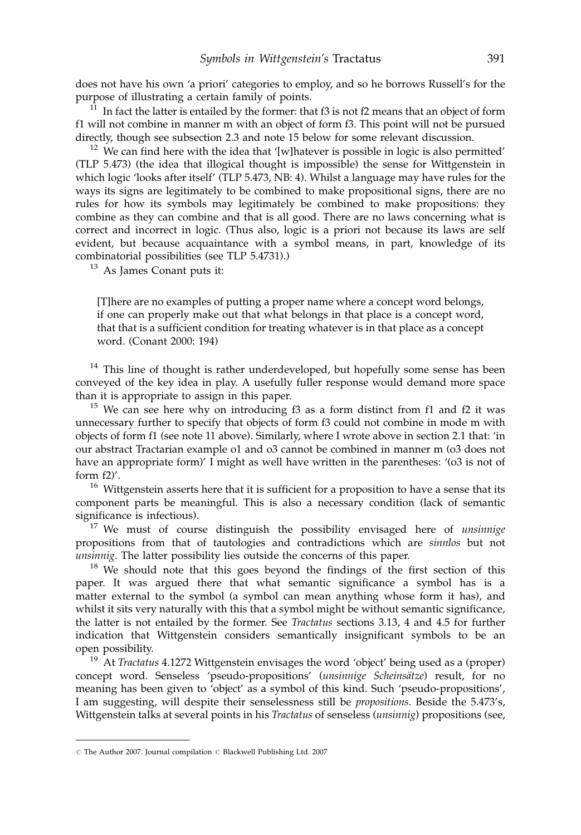does not have his own 'a priori' categories to employ, and so he borrows Russell's for the purpose of illustrating a certain family of points.

<sup>11</sup> In fact the latter is entailed by the former: that f3 is not f2 means that an object of form f1 will not combine in manner m with an object of form f3. This point will not be pursued directly, though see subsection 2.3 and note 15 below for some relevant discussion.

 $12$  We can find here with the idea that '[w]hatever is possible in logic is also permitted' (TLP 5.473) (the idea that illogical thought is impossible) the sense for Wittgenstein in which logic 'looks after itself' (TLP 5.473, NB: 4). Whilst a language may have rules for the ways its signs are legitimately to be combined to make propositional signs, there are no rules for how its symbols may legitimately be combined to make propositions: they combine as they can combine and that is all good. There are no laws concerning what is correct and incorrect in logic. (Thus also, logic is a priori not because its laws are self evident, but because acquaintance with a symbol means, in part, knowledge of its combinatorial possibilities (see TLP 5.4731).)

<sup>13</sup> As James Conant puts it:

[T]here are no examples of putting a proper name where a concept word belongs, if one can properly make out that what belongs in that place is a concept word, that that is a sufficient condition for treating whatever is in that place as a concept word. (Conant 2000: 194)

 $14$  This line of thought is rather underdeveloped, but hopefully some sense has been conveyed of the key idea in play. A usefully fuller response would demand more space than it is appropriate to assign in this paper.

 $15$  We can see here why on introducing f3 as a form distinct from f1 and f2 it was unnecessary further to specify that objects of form f3 could not combine in mode m with objects of form f1 (see note 11 above). Similarly, where I wrote above in section 2.1 that: 'in our abstract Tractarian example o1 and o3 cannot be combined in manner m (o3 does not have an appropriate form)' I might as well have written in the parentheses: '(o3 is not of form f2)'.

<sup>16</sup> Wittgenstein asserts here that it is sufficient for a proposition to have a sense that its component parts be meaningful. This is also a necessary condition (lack of semantic significance is infectious).

<sup>17</sup> We must of course distinguish the possibility envisaged here of unsinnige propositions from that of tautologies and contradictions which are sinnlos but not unsinnig. The latter possibility lies outside the concerns of this paper.

<sup>18</sup> We should note that this goes beyond the findings of the first section of this paper. It was argued there that what semantic significance a symbol has is a matter external to the symbol (a symbol can mean anything whose form it has), and whilst it sits very naturally with this that a symbol might be without semantic significance, the latter is not entailed by the former. See Tractatus sections 3.13, 4 and 4.5 for further indication that Wittgenstein considers semantically insignificant symbols to be an open possibility.

<sup>19</sup> At Tractatus 4.1272 Wittgenstein envisages the word 'object' being used as a (proper) concept word. Senseless 'pseudo-propositions' (unsinnige Scheinsätze) result, for no meaning has been given to 'object' as a symbol of this kind. Such 'pseudo-propositions', I am suggesting, will despite their senselessness still be propositions. Beside the 5.473's, Wittgenstein talks at several points in his *Tractatus* of senseless (*unsinnig*) propositions (see,

<sup>©</sup> The Author 2007. Journal compilation © Blackwell Publishing Ltd. 2007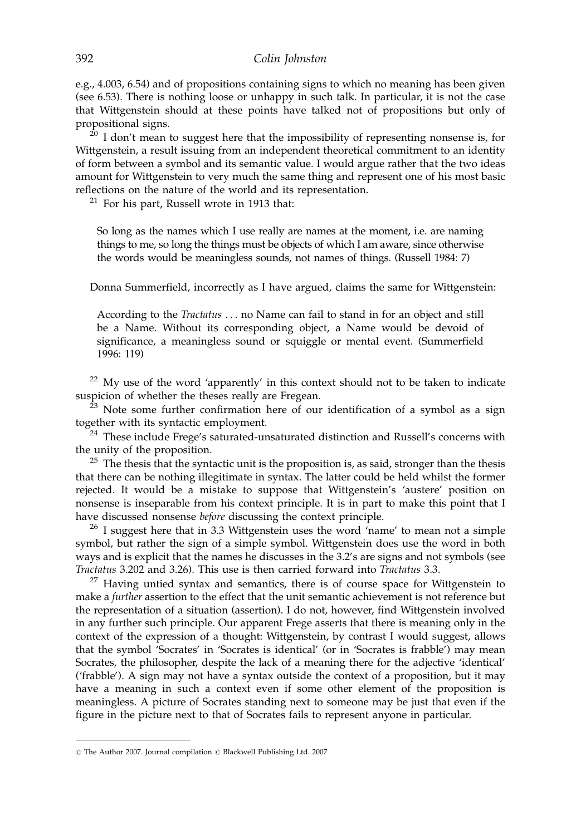e.g., 4.003, 6.54) and of propositions containing signs to which no meaning has been given (see 6.53). There is nothing loose or unhappy in such talk. In particular, it is not the case that Wittgenstein should at these points have talked not of propositions but only of propositional signs.

 $20<sup>20</sup>$  I don't mean to suggest here that the impossibility of representing nonsense is, for Wittgenstein, a result issuing from an independent theoretical commitment to an identity of form between a symbol and its semantic value. I would argue rather that the two ideas amount for Wittgenstein to very much the same thing and represent one of his most basic reflections on the nature of the world and its representation.

<sup>21</sup> For his part, Russell wrote in 1913 that:

So long as the names which I use really are names at the moment, i.e. are naming things to me, so long the things must be objects of which I am aware, since otherwise the words would be meaningless sounds, not names of things. (Russell 1984: 7)

Donna Summerfield, incorrectly as I have argued, claims the same for Wittgenstein:

According to the Tractatus . . . no Name can fail to stand in for an object and still be a Name. Without its corresponding object, a Name would be devoid of significance, a meaningless sound or squiggle or mental event. (Summerfield 1996: 119)

 $22$  My use of the word 'apparently' in this context should not to be taken to indicate suspicion of whether the theses really are Fregean.

 $23$  Note some further confirmation here of our identification of a symbol as a sign together with its syntactic employment.

<sup>24</sup> These include Frege's saturated-unsaturated distinction and Russell's concerns with the unity of the proposition.

 $25$  The thesis that the syntactic unit is the proposition is, as said, stronger than the thesis that there can be nothing illegitimate in syntax. The latter could be held whilst the former rejected. It would be a mistake to suppose that Wittgenstein's 'austere' position on nonsense is inseparable from his context principle. It is in part to make this point that I have discussed nonsense before discussing the context principle.

 $26$  I suggest here that in 3.3 Wittgenstein uses the word 'name' to mean not a simple symbol, but rather the sign of a simple symbol. Wittgenstein does use the word in both ways and is explicit that the names he discusses in the 3.2's are signs and not symbols (see Tractatus 3.202 and 3.26). This use is then carried forward into Tractatus 3.3.

 $27$  Having untied syntax and semantics, there is of course space for Wittgenstein to make a *further* assertion to the effect that the unit semantic achievement is not reference but the representation of a situation (assertion). I do not, however, find Wittgenstein involved in any further such principle. Our apparent Frege asserts that there is meaning only in the context of the expression of a thought: Wittgenstein, by contrast I would suggest, allows that the symbol 'Socrates' in 'Socrates is identical' (or in 'Socrates is frabble') may mean Socrates, the philosopher, despite the lack of a meaning there for the adjective 'identical' ('frabble'). A sign may not have a syntax outside the context of a proposition, but it may have a meaning in such a context even if some other element of the proposition is meaningless. A picture of Socrates standing next to someone may be just that even if the figure in the picture next to that of Socrates fails to represent anyone in particular.

<sup>©</sup> The Author 2007. Journal compilation © Blackwell Publishing Ltd. 2007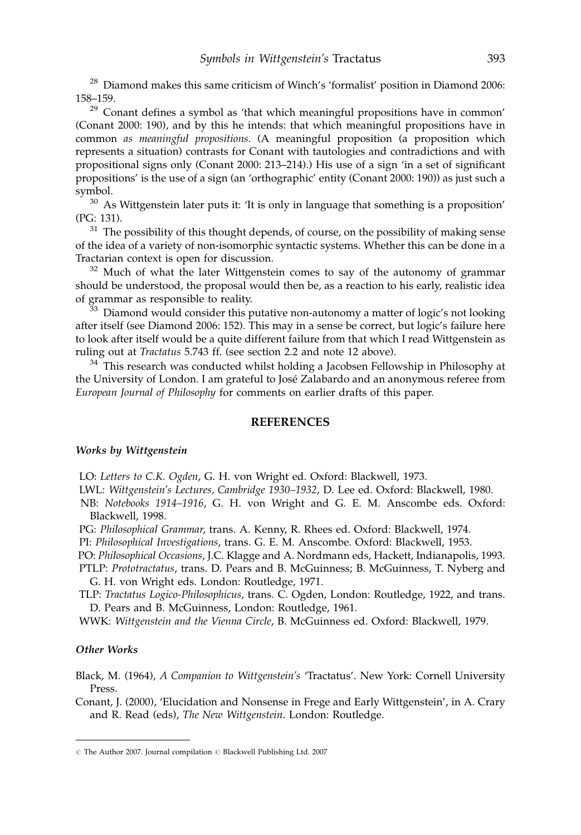<sup>28</sup> Diamond makes this same criticism of Winch's 'formalist' position in Diamond 2006: 158–159.

<sup>29</sup> Conant defines a symbol as 'that which meaningful propositions have in common' (Conant 2000: 190), and by this he intends: that which meaningful propositions have in common as meaningful propositions. (A meaningful proposition (a proposition which represents a situation) contrasts for Conant with tautologies and contradictions and with propositional signs only (Conant 2000: 213–214).) His use of a sign 'in a set of significant propositions' is the use of a sign (an 'orthographic' entity (Conant 2000: 190)) as just such a symbol.

 $30$  As Wittgenstein later puts it: 'It is only in language that something is a proposition' (PG: 131).

<sup>31</sup> The possibility of this thought depends, of course, on the possibility of making sense of the idea of a variety of non-isomorphic syntactic systems. Whether this can be done in a Tractarian context is open for discussion.

 $32$  Much of what the later Wittgenstein comes to say of the autonomy of grammar should be understood, the proposal would then be, as a reaction to his early, realistic idea of grammar as responsible to reality.

 $33$  Diamond would consider this putative non-autonomy a matter of logic's not looking after itself (see Diamond 2006: 152). This may in a sense be correct, but logic's failure here to look after itself would be a quite different failure from that which I read Wittgenstein as ruling out at Tractatus 5.743 ff. (see section 2.2 and note 12 above).

 $34$  This research was conducted whilst holding a Jacobsen Fellowship in Philosophy at the University of London. I am grateful to Jose´ Zalabardo and an anonymous referee from European Journal of Philosophy for comments on earlier drafts of this paper.

#### REFERENCES

#### Works by Wittgenstein

LO: Letters to C.K. Ogden, G. H. von Wright ed. Oxford: Blackwell, 1973.

LWL: Wittgenstein's Lectures, Cambridge 1930–1932, D. Lee ed. Oxford: Blackwell, 1980.

- NB: Notebooks 1914–1916, G. H. von Wright and G. E. M. Anscombe eds. Oxford: Blackwell, 1998.
- PG: Philosophical Grammar, trans. A. Kenny, R. Rhees ed. Oxford: Blackwell, 1974.
- PI: Philosophical Investigations, trans. G. E. M. Anscombe. Oxford: Blackwell, 1953.

PO: Philosophical Occasions, J.C. Klagge and A. Nordmann eds, Hackett, Indianapolis, 1993.

PTLP: Prototractatus, trans. D. Pears and B. McGuinness; B. McGuinness, T. Nyberg and G. H. von Wright eds. London: Routledge, 1971.

TLP: Tractatus Logico-Philosophicus, trans. C. Ogden, London: Routledge, 1922, and trans. D. Pears and B. McGuinness, London: Routledge, 1961.

WWK: Wittgenstein and the Vienna Circle, B. McGuinness ed. Oxford: Blackwell, 1979.

#### Other Works

Black, M. (1964), A Companion to Wittgenstein's 'Tractatus'. New York: Cornell University Press.

Conant, J. (2000), 'Elucidation and Nonsense in Frege and Early Wittgenstein', in A. Crary and R. Read (eds), The New Wittgenstein. London: Routledge.

<sup>©</sup> The Author 2007. Journal compilation © Blackwell Publishing Ltd. 2007